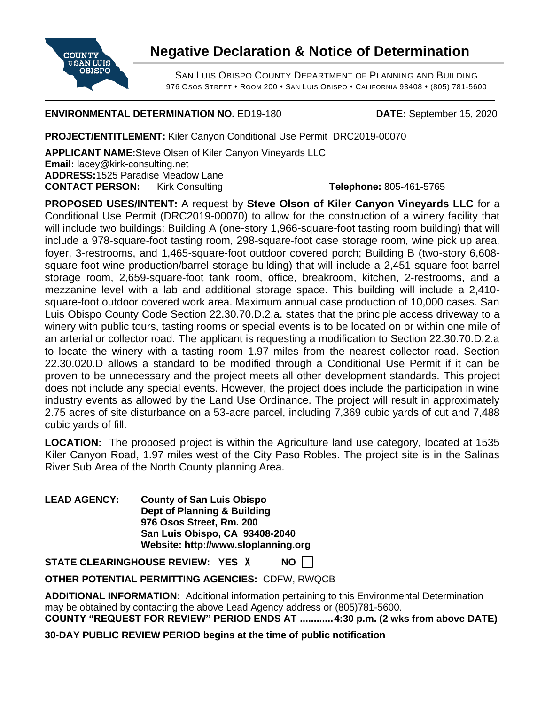

## **Negative Declaration & Notice of Determination**

SAN LUIS OBISPO COUNTY DEPARTMENT OF PLANNING AND BUILDING 976 OSOS STREET • ROOM 200 • SAN LUIS OBISPO • CALIFORNIA 93408 • (805) 781-5600

## **ENVIRONMENTAL DETERMINATION NO.** ED19-180 **DATE:** September 15, 2020

**PROJECT/ENTITLEMENT:** Kiler Canyon Conditional Use Permit DRC2019-00070

**APPLICANT NAME:**Steve Olsen of Kiler Canyon Vineyards LLC **Email:** lacey@kirk-consulting.net **ADDRESS:**1525 Paradise Meadow Lane **CONTACT PERSON:** Kirk Consulting **Telephone:** 805-461-5765

**PROPOSED USES/INTENT:** A request by **Steve Olson of Kiler Canyon Vineyards LLC** for a Conditional Use Permit (DRC2019-00070) to allow for the construction of a winery facility that will include two buildings: Building A (one-story 1,966-square-foot tasting room building) that will include a 978-square-foot tasting room, 298-square-foot case storage room, wine pick up area, foyer, 3-restrooms, and 1,465-square-foot outdoor covered porch; Building B (two-story 6,608 square-foot wine production/barrel storage building) that will include a 2,451-square-foot barrel storage room, 2,659-square-foot tank room, office, breakroom, kitchen, 2-restrooms, and a mezzanine level with a lab and additional storage space. This building will include a 2,410 square-foot outdoor covered work area. Maximum annual case production of 10,000 cases. San Luis Obispo County Code Section 22.30.70.D.2.a. states that the principle access driveway to a winery with public tours, tasting rooms or special events is to be located on or within one mile of an arterial or collector road. The applicant is requesting a modification to Section 22.30.70.D.2.a to locate the winery with a tasting room 1.97 miles from the nearest collector road. Section 22.30.020.D allows a standard to be modified through a Conditional Use Permit if it can be proven to be unnecessary and the project meets all other development standards. This project does not include any special events. However, the project does include the participation in wine industry events as allowed by the Land Use Ordinance. The project will result in approximately 2.75 acres of site disturbance on a 53-acre parcel, including 7,369 cubic yards of cut and 7,488 cubic yards of fill.

**LOCATION:** The proposed project is within the Agriculture land use category, located at 1535 Kiler Canyon Road, 1.97 miles west of the City Paso Robles. The project site is in the Salinas River Sub Area of the North County planning Area.

**LEAD AGENCY: County of San Luis Obispo Dept of Planning & Building 976 Osos Street, Rm. 200 San Luis Obispo, CA 93408-2040 Website: http://www.sloplanning.org**

**STATE CLEARINGHOUSE REVIEW: YES** X **NO**

**OTHER POTENTIAL PERMITTING AGENCIES:** CDFW, RWQCB

**ADDITIONAL INFORMATION:** Additional information pertaining to this Environmental Determination may be obtained by contacting the above Lead Agency address or (805)781-5600. **COUNTY "REQUEST FOR REVIEW" PERIOD ENDS AT ............4:30 p.m. (2 wks from above DATE)**

**30-DAY PUBLIC REVIEW PERIOD begins at the time of public notification**